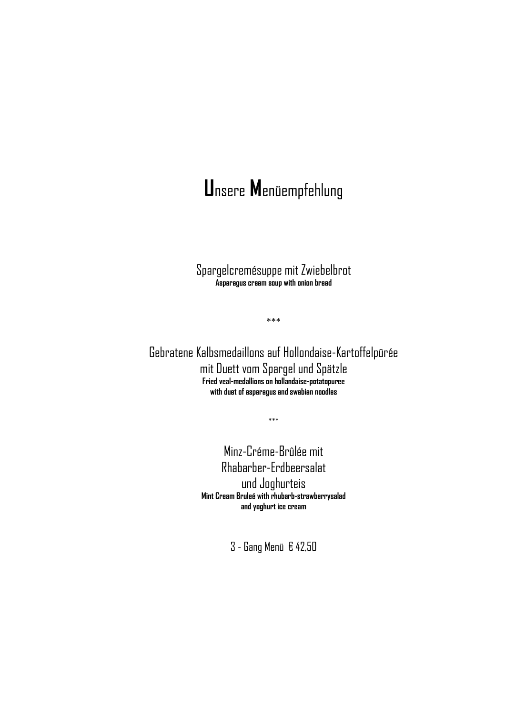#### Unsere Menüempfehlung

Spargelcremésuppe mit Zwiebelbrot Asparagus cream soup with onion bread

 $***$ 

Gebratene Kalbsmedaillons auf Hollondaise-Kartoffelpürée mit Duett vom Spargel und Spätzle Fried veal-medallions on hollandaise-potatopuree with duet of asparagus and swabian noodles

 $***$ 

Minz-Créme-Brûlée mit Rhabarber-Erdbeersalat und Joghurteis Mint Cream Bruleé with rhubarb-strawberrysalad and voohurt ice cream

3 - Gang Menü € 42,50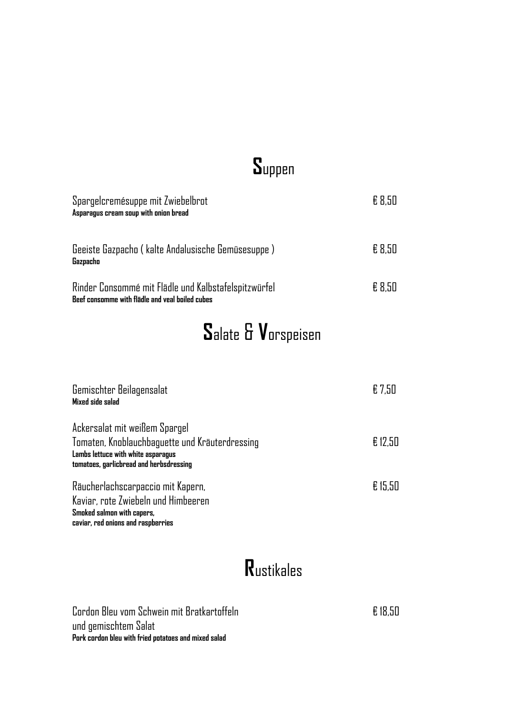## **S**uppen

| Spargelcremésuppe mit Zwiebelbrot<br>Asparagus cream soup with onion bread                              | £ 8.50 |
|---------------------------------------------------------------------------------------------------------|--------|
| Geeiste Gazpacho (kalte Andalusische Gemüsesuppe)<br>Gazpacho                                           | £ 8.50 |
| Rinder Consommé mit Flädle und Kalbstafelspitzwürfel<br>Beef consomme with flädle and veal boiled cubes | £ 8.50 |

# **S**alate & **V**orspeisen

| Gemischter Beilagensalat<br>Mixed side salad                                  | € 7,50  |
|-------------------------------------------------------------------------------|---------|
| Ackersalat mit weißem Spargel                                                 |         |
| Tomaten, Knoblauchbaguette und Kräuterdressing                                | €12,50  |
| Lambs lettuce with white asparagus<br>tomatoes, garlicbread and herbsdressing |         |
|                                                                               |         |
| Räucherlachscarpaccio mit Kapern,                                             | € 15,50 |
| Kaviar, rote Zwiebeln und Himbeeren                                           |         |
| Smoked salmon with capers,                                                    |         |
| caviar, red onions and raspberries                                            |         |

#### **R**ustikales

Cordon Bleu vom Schwein mit Bratkartoffeln € 18,50 und gemischtem Salat **Pork cordon bleu with fried potatoes and mixed salad**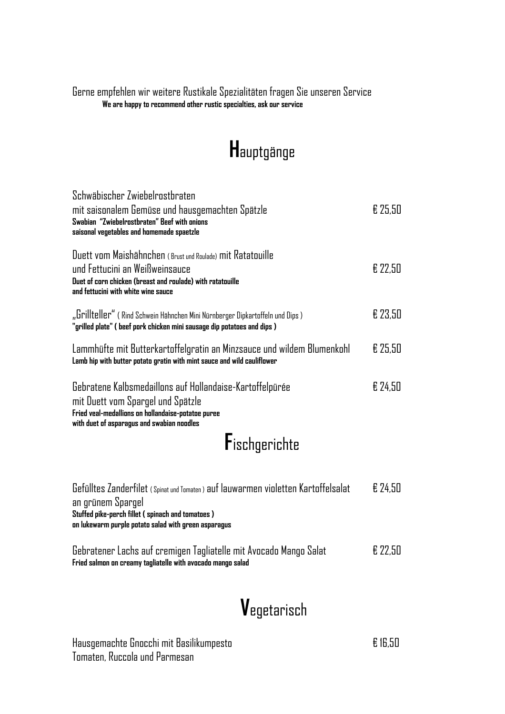#### Gerne empfehlen wir weitere Rustikale Spezialitäten fragen Sie unseren Service **We are happy to recommend other rustic specialties, ask our service**

# **H**auptgänge

| Schwäbischer Zwiebelrostbraten<br>mit saisonalem Gemüse und hausgemachten Spätzle<br>Swabian "Zwiebelrostbraten" Beef with onions<br>saisonal vegetables and homemade spaetzle                    | £ 25,50 |
|---------------------------------------------------------------------------------------------------------------------------------------------------------------------------------------------------|---------|
| Duett vom Maishähnchen (Brust und Roulade) mit Ratatouille<br>und Fettucini an Weißweinsauce<br>Duet of corn chicken (breast and roulade) with ratatouille<br>and fettucini with white wine sauce | € 22,50 |
| "Grillteller" (Rind Schwein Hähnchen Mini Nürnberger Dipkartoffeln und Dips)<br>"grilled plate" ( beef pork chicken mini sausage dip potatoes and dips )                                          | £ 23,50 |
| Lammhüfte mit Butterkartoffelgratin an Minzsauce und wildem Blumenkohl<br>Lamb hip with butter potato gratin with mint sauce and wild cauliflower                                                 | € 25,50 |
| Gebratene Kalbsmedaillons auf Hollandaise-Kartoffelpürée<br>mit Duett vom Spargel und Spätzle<br>Fried veal-medallions on hollandaise-potatoe puree<br>with duet of asparagus and swabian noodles | € 24.50 |
| Fischgerichte                                                                                                                                                                                     |         |
|                                                                                                                                                                                                   |         |

| Gefülltes Zanderfilet (Spinat und Tomaten) auf lauwarmen violetten Kartoffelsalat                        | E 74.50 |
|----------------------------------------------------------------------------------------------------------|---------|
| an grünem Spargel                                                                                        |         |
| Stuffed pike-perch fillet (spinach and tomatoes)<br>on lukewarm purple potato salad with green asparagus |         |
| Gebratener Lachs auf cremigen Tagliatelle mit Avocado Mango Salat                                        | £ 77.50 |

**Fried salmon on creamy tagliatelle with avocado mango salad**

## **V**egetarisch

Hausgemachte Gnocchi mit Basilikumpesto € 16,50 Tomaten, Ruccola und Parmesan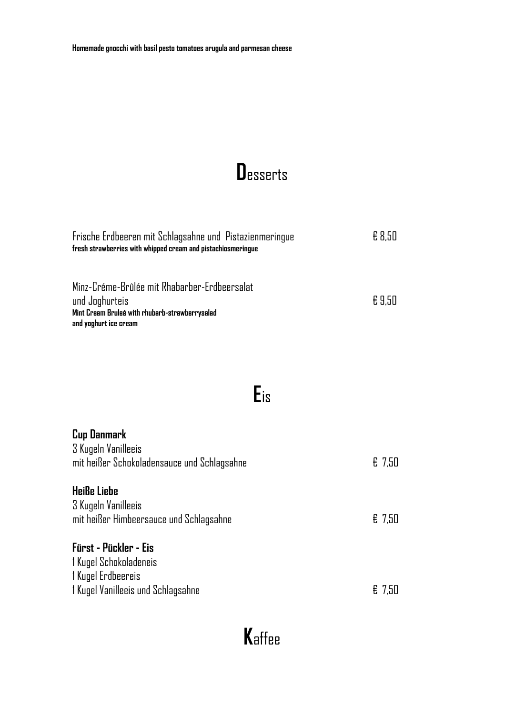## **Desserts**

| Frische Erdbeeren mit Schlagsahne und Pistazienmeringue<br>fresh strawberries with whipped cream and pistachiosmeringue                   | £ 8.50 |
|-------------------------------------------------------------------------------------------------------------------------------------------|--------|
| Minz-Créme-Brûlée mit Rhabarber-Erdbeersalat<br>und Joghurteis<br>Mint Cream Bruleé with rhubarb-strawberrysalad<br>and yoghurt ice cream | £9.50  |

### $E$ is

| <b>Cup Danmark</b><br>3 Kugeln Vanilleeis<br>mit heißer Schokoladensauce und Schlagsahne                    | $E$ 7,50 |
|-------------------------------------------------------------------------------------------------------------|----------|
| <b>Heiße Liebe</b><br>3 Kugeln Vanilleeis<br>mit heißer Himbeersauce und Schlagsahne                        | $E$ 7,50 |
| Fürst - Pückler - Eis<br>1 Kugel Schokoladeneis<br>I Kugel Erdbeereis<br>1 Kugel Vanilleeis und Schlagsahne | € 7,50   |

# Kaffee